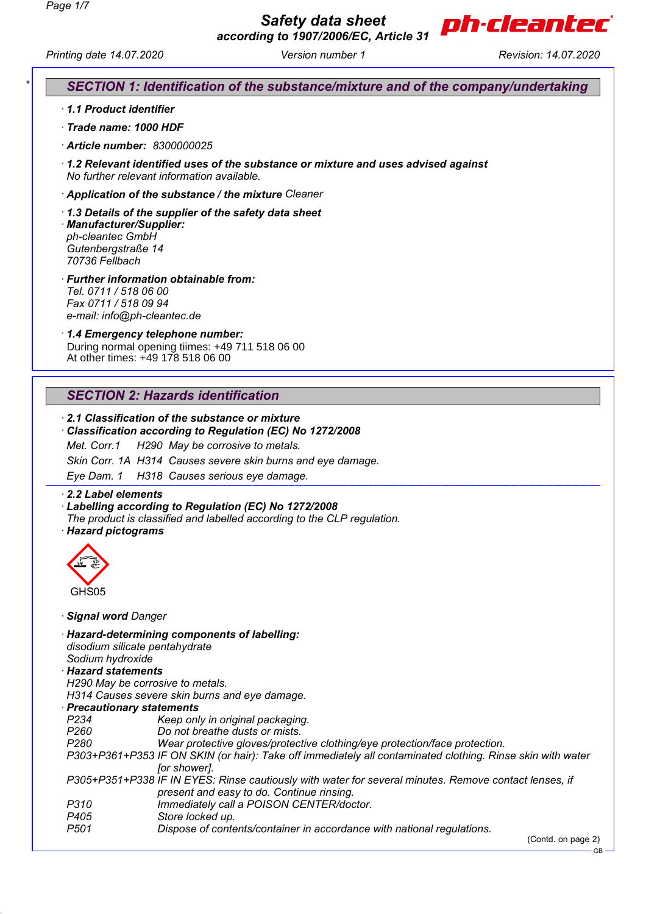

*Printing date 14.07.2020 Version number 1 Revision: 14.07.2020*

# *\* SECTION 1: Identification of the substance/mixture and of the company/undertaking*

- *· 1.1 Product identifier*
- *· Trade name: 1000 HDF*
- *· Article number: 8300000025*
- *· 1.2 Relevant identified uses of the substance or mixture and uses advised against No further relevant information available.*
- *· Application of the substance / the mixture Cleaner*
- *· 1.3 Details of the supplier of the safety data sheet · Manufacturer/Supplier: ph-cleantec GmbH Gutenbergstraße 14 70736 Fellbach*
- *· Further information obtainable from: Tel. 0711 / 518 06 00 Fax 0711 / 518 09 94 e-mail: info@ph-cleantec.de*
- *· 1.4 Emergency telephone number:* During normal opening tiimes: +49 711 518 06 00
- At other times: +49 178 518 06 00

# *SECTION 2: Hazards identification*

- *· 2.1 Classification of the substance or mixture*
- *· Classification according to Regulation (EC) No 1272/2008 Met. Corr.1 H290 May be corrosive to metals. Skin Corr. 1A H314 Causes severe skin burns and eye damage. Eye Dam. 1 H318 Causes serious eye damage.*

*· 2.2 Label elements*

- *· Labelling according to Regulation (EC) No 1272/2008*
- *The product is classified and labelled according to the CLP regulation.*
- *· Hazard pictograms*



- *· Signal word Danger*
- *· Hazard-determining components of labelling:*
- *disodium silicate pentahydrate*
- *Sodium hydroxide*
- *· Hazard statements*
- *H290 May be corrosive to metals.*

*H314 Causes severe skin burns and eye damage.*

- *· Precautionary statements*
- *P234 Keep only in original packaging.*
- *P260 Do not breathe dusts or mists.*
- *P280 Wear protective gloves/protective clothing/eye protection/face protection.*
- *P303+P361+P353 IF ON SKIN (or hair): Take off immediately all contaminated clothing. Rinse skin with water [or shower].*
- *P305+P351+P338 IF IN EYES: Rinse cautiously with water for several minutes. Remove contact lenses, if present and easy to do. Continue rinsing.*
- *P310 Immediately call a POISON CENTER/doctor.*
- *P405 Store locked up.*
- *P501 Dispose of contents/container in accordance with national regulations.*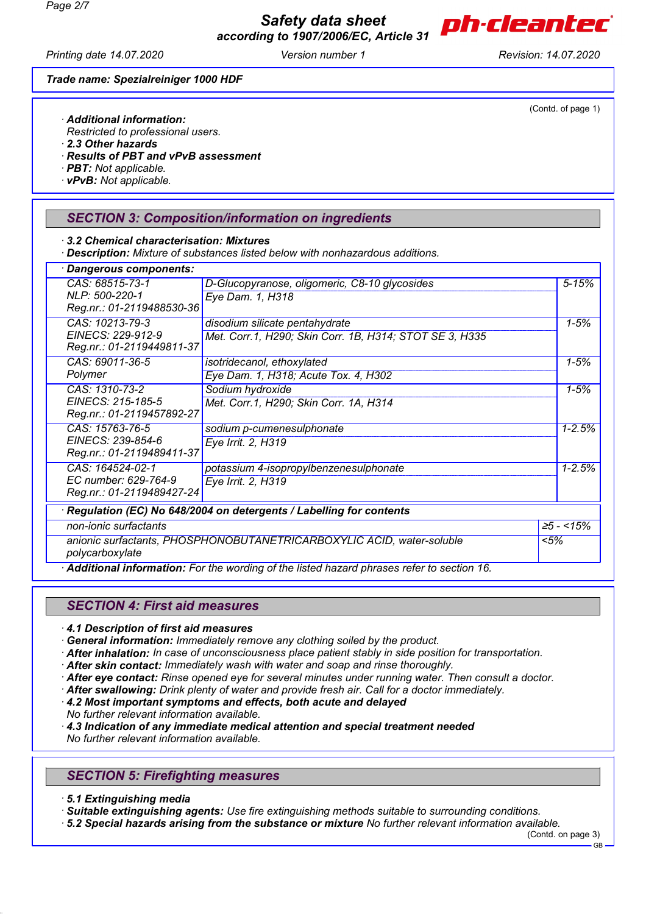*Safety data sheet according to 1907/2006/EC, Article 31*



(Contd. of page 1)

*Printing date 14.07.2020 Version number 1 Revision: 14.07.2020*

*Trade name: Spezialreiniger 1000 HDF*

*· Additional information:*

*Restricted to professional users.*

*· 2.3 Other hazards*

*· Results of PBT and vPvB assessment*

*· PBT: Not applicable.*

*· vPvB: Not applicable.*

## *SECTION 3: Composition/information on ingredients*

*· 3.2 Chemical characterisation: Mixtures*

*· Description: Mixture of substances listed below with nonhazardous additions.*

| · Dangerous components:                                                                  |                                                                                           |      |                 |  |
|------------------------------------------------------------------------------------------|-------------------------------------------------------------------------------------------|------|-----------------|--|
| CAS: 68515-73-1                                                                          | D-Glucopyranose, oligomeric, C8-10 glycosides                                             |      | $5 - 15%$       |  |
| NLP: 500-220-1                                                                           | Eye Dam. 1, H318                                                                          |      |                 |  |
| Reg.nr.: 01-2119488530-36                                                                |                                                                                           |      |                 |  |
| CAS: 10213-79-3                                                                          | disodium silicate pentahydrate                                                            |      | $1 - 5%$        |  |
| EINECS: 229-912-9<br>Reg.nr.: 01-2119449811-37                                           | Met. Corr.1, H290; Skin Corr. 1B, H314; STOT SE 3, H335                                   |      |                 |  |
| CAS: 69011-36-5                                                                          | isotridecanol, ethoxylated                                                                |      | $1 - 5%$        |  |
| Polymer                                                                                  | Eye Dam. 1, H318; Acute Tox. 4, H302                                                      |      |                 |  |
| CAS: 1310-73-2                                                                           | Sodium hydroxide                                                                          |      | $1 - 5%$        |  |
| EINECS: 215-185-5                                                                        | Met. Corr.1, H290; Skin Corr. 1A, H314                                                    |      |                 |  |
| Reg.nr.: 01-2119457892-27                                                                |                                                                                           |      |                 |  |
| CAS: 15763-76-5                                                                          | sodium p-cumenesulphonate                                                                 |      | $1 - 2.5%$      |  |
| EINECS: 239-854-6<br>Reg.nr.: 01-2119489411-37                                           | Eye Irrit. 2, H319                                                                        |      |                 |  |
| CAS: 164524-02-1                                                                         | potassium 4-isopropylbenzenesulphonate                                                    |      | $1 - 2.5%$      |  |
| EC number: 629-764-9                                                                     | Eye Irrit. 2, H319                                                                        |      |                 |  |
| Reg.nr.: 01-2119489427-24                                                                |                                                                                           |      |                 |  |
|                                                                                          | · Regulation (EC) No 648/2004 on detergents / Labelling for contents                      |      |                 |  |
| non-ionic surfactants                                                                    |                                                                                           |      | $\geq 5 - 15\%$ |  |
| anionic surfactants, PHOSPHONOBUTANETRICARBOXYLIC ACID, water-soluble<br>polycarboxylate |                                                                                           | < 5% |                 |  |
|                                                                                          | Additional information: For the wording of the listed hazard phrases refer to section 16. |      |                 |  |

# *SECTION 4: First aid measures*

*· 4.1 Description of first aid measures*

*· General information: Immediately remove any clothing soiled by the product.*

- *· After inhalation: In case of unconsciousness place patient stably in side position for transportation.*
- *· After skin contact: Immediately wash with water and soap and rinse thoroughly.*
- *· After eye contact: Rinse opened eye for several minutes under running water. Then consult a doctor.*
- *· After swallowing: Drink plenty of water and provide fresh air. Call for a doctor immediately.*
- *· 4.2 Most important symptoms and effects, both acute and delayed*
- *No further relevant information available.*
- *· 4.3 Indication of any immediate medical attention and special treatment needed No further relevant information available.*

# *SECTION 5: Firefighting measures*

*· 5.1 Extinguishing media*

*· Suitable extinguishing agents: Use fire extinguishing methods suitable to surrounding conditions.*

*· 5.2 Special hazards arising from the substance or mixture No further relevant information available.*

(Contd. on page 3)

GB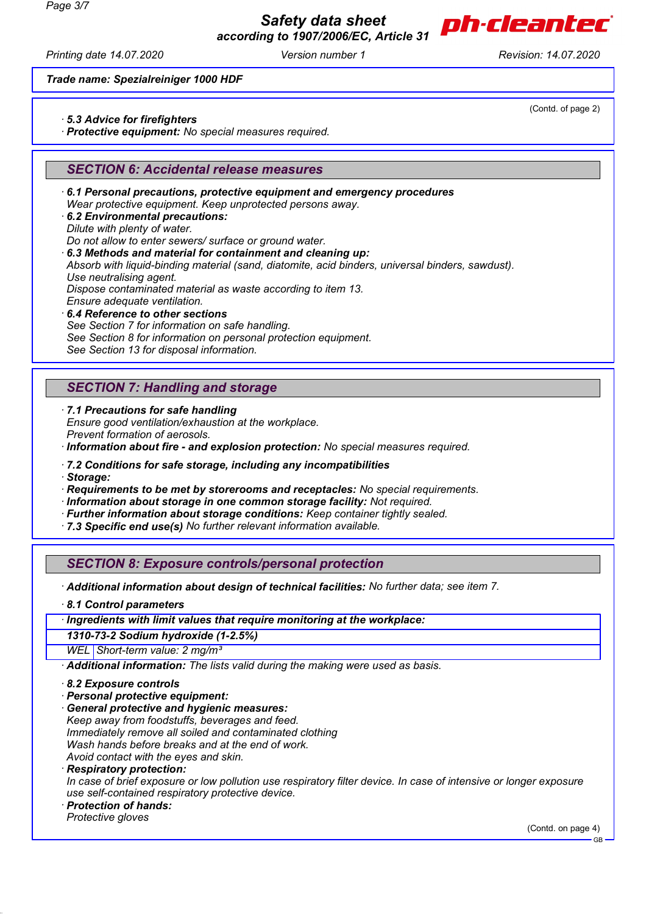

*Printing date 14.07.2020 Version number 1 Revision: 14.07.2020*

(Contd. of page 2)

*Trade name: Spezialreiniger 1000 HDF*

- *· 5.3 Advice for firefighters*
- *· Protective equipment: No special measures required.*

# *SECTION 6: Accidental release measures*

*· 6.1 Personal precautions, protective equipment and emergency procedures Wear protective equipment. Keep unprotected persons away. · 6.2 Environmental precautions: Dilute with plenty of water. Do not allow to enter sewers/ surface or ground water. · 6.3 Methods and material for containment and cleaning up: Absorb with liquid-binding material (sand, diatomite, acid binders, universal binders, sawdust). Use neutralising agent. Dispose contaminated material as waste according to item 13. Ensure adequate ventilation. · 6.4 Reference to other sections See Section 7 for information on safe handling. See Section 8 for information on personal protection equipment.*

*See Section 13 for disposal information.*

## *SECTION 7: Handling and storage*

*· 7.1 Precautions for safe handling*

*Ensure good ventilation/exhaustion at the workplace. Prevent formation of aerosols. · Information about fire - and explosion protection: No special measures required.*

*· 7.2 Conditions for safe storage, including any incompatibilities*

*· Storage:*

*· Requirements to be met by storerooms and receptacles: No special requirements.*

- *· Information about storage in one common storage facility: Not required.*
- *· Further information about storage conditions: Keep container tightly sealed.*

*· 7.3 Specific end use(s) No further relevant information available.*

# *SECTION 8: Exposure controls/personal protection*

*· Additional information about design of technical facilities: No further data; see item 7.*

*· 8.1 Control parameters*

#### *· Ingredients with limit values that require monitoring at the workplace:*

*1310-73-2 Sodium hydroxide (1-2.5%)*

*WEL Short-term value: 2 mg/m³*

*· Additional information: The lists valid during the making were used as basis.*

- *· 8.2 Exposure controls*
- *· Personal protective equipment:*
- *· General protective and hygienic measures:*

*Keep away from foodstuffs, beverages and feed. Immediately remove all soiled and contaminated clothing Wash hands before breaks and at the end of work.*

*Avoid contact with the eyes and skin.*

*· Respiratory protection:*

*In case of brief exposure or low pollution use respiratory filter device. In case of intensive or longer exposure use self-contained respiratory protective device.*

*· Protection of hands:*

*Protective gloves*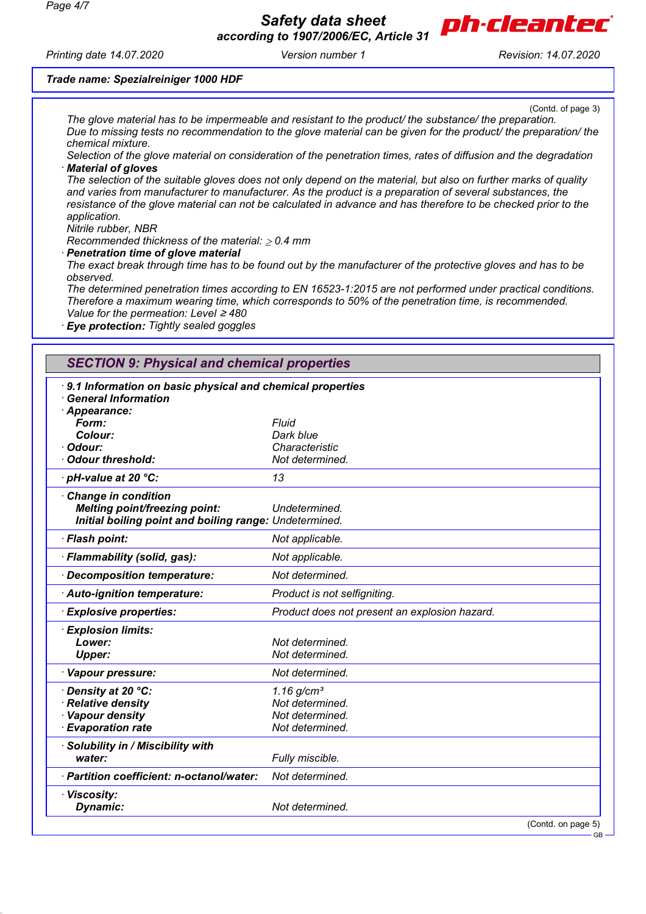

*Printing date 14.07.2020 Version number 1 Revision: 14.07.2020*

(Contd. of page 3) *The glove material has to be impermeable and resistant to the product/ the substance/ the preparation. Due to missing tests no recommendation to the glove material can be given for the product/ the preparation/ the chemical mixture.*

*Selection of the glove material on consideration of the penetration times, rates of diffusion and the degradation · Material of gloves*

*The selection of the suitable gloves does not only depend on the material, but also on further marks of quality and varies from manufacturer to manufacturer. As the product is a preparation of several substances, the resistance of the glove material can not be calculated in advance and has therefore to be checked prior to the application.*

*Nitrile rubber, NBR*

*Recommended thickness of the material: 0.4 mm*

*· Penetration time of glove material*

*Trade name: Spezialreiniger 1000 HDF*

*The exact break through time has to be found out by the manufacturer of the protective gloves and has to be observed.*

*The determined penetration times according to EN 16523-1:2015 are not performed under practical conditions. Therefore a maximum wearing time, which corresponds to 50% of the penetration time, is recommended. Value for the permeation: Level* ≥ *480*

*· Eye protection: Tightly sealed goggles*

# *SECTION 9: Physical and chemical properties*

| 9.1 Information on basic physical and chemical properties<br><b>General Information</b> |                                               |  |
|-----------------------------------------------------------------------------------------|-----------------------------------------------|--|
| Appearance:                                                                             |                                               |  |
| Form:                                                                                   | Fluid                                         |  |
| Colour:                                                                                 | Dark blue                                     |  |
| · Odour:                                                                                | Characteristic                                |  |
| Odour threshold:                                                                        | Not determined.                               |  |
| · pH-value at 20 °C:                                                                    | 13                                            |  |
| Change in condition                                                                     |                                               |  |
| <b>Melting point/freezing point:</b>                                                    | Undetermined.                                 |  |
| Initial boiling point and boiling range: Undetermined.                                  |                                               |  |
| · Flash point:                                                                          | Not applicable.                               |  |
| · Flammability (solid, gas):                                                            | Not applicable.                               |  |
| Decomposition temperature:                                                              | Not determined.                               |  |
| Auto-ignition temperature:                                                              | Product is not selfigniting.                  |  |
| <b>Explosive properties:</b>                                                            | Product does not present an explosion hazard. |  |
| <b>Explosion limits:</b>                                                                |                                               |  |
| Lower:                                                                                  | Not determined.                               |  |
| <b>Upper:</b>                                                                           | Not determined.                               |  |
| · Vapour pressure:                                                                      | Not determined.                               |  |
| · Density at 20 °C:                                                                     | $1.16$ g/cm <sup>3</sup>                      |  |
| · Relative density                                                                      | Not determined.                               |  |
| · Vapour density                                                                        | Not determined.                               |  |
| <b>Evaporation rate</b>                                                                 | Not determined.                               |  |
| · Solubility in / Miscibility with                                                      |                                               |  |
| water:                                                                                  | Fully miscible.                               |  |
| · Partition coefficient: n-octanol/water:                                               | Not determined.                               |  |
| · Viscosity:                                                                            |                                               |  |
| Dynamic:                                                                                | Not determined.                               |  |
|                                                                                         | (Contd. on page 5)                            |  |

GB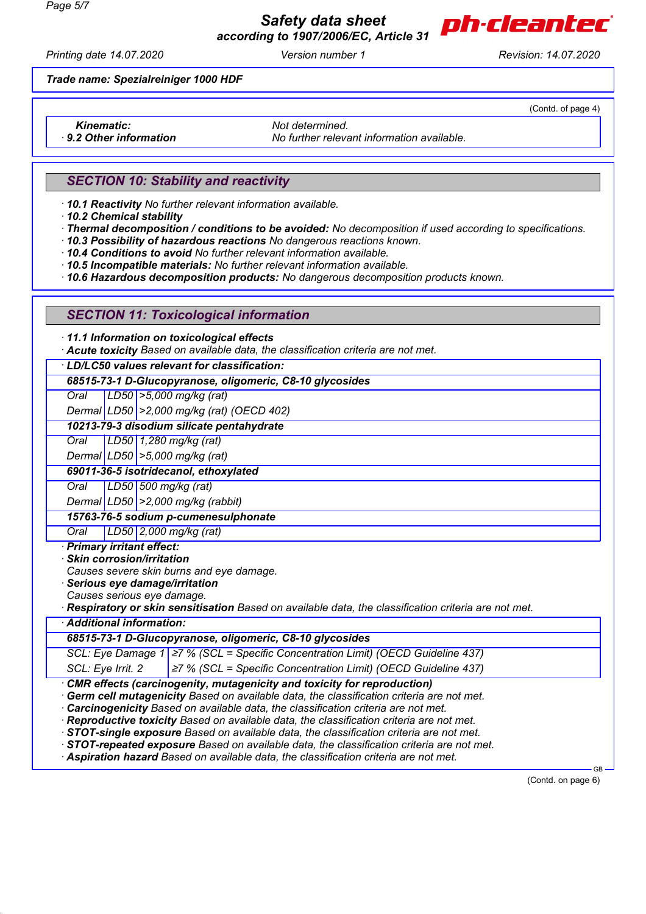

*Printing date 14.07.2020 Version number 1 Revision: 14.07.2020*

*Trade name: Spezialreiniger 1000 HDF*

(Contd. of page 4)

*Kinematic: Not determined.*

*· 9.2 Other information No further relevant information available.*

# *SECTION 10: Stability and reactivity*

*· 10.1 Reactivity No further relevant information available.*

*· 10.2 Chemical stability*

*· Thermal decomposition / conditions to be avoided: No decomposition if used according to specifications.*

*· 10.3 Possibility of hazardous reactions No dangerous reactions known.*

*· 10.4 Conditions to avoid No further relevant information available.*

*· 10.5 Incompatible materials: No further relevant information available.*

*· 10.6 Hazardous decomposition products: No dangerous decomposition products known.*

## *SECTION 11: Toxicological information*

*· 11.1 Information on toxicological effects*

*· Acute toxicity Based on available data, the classification criteria are not met.*

*· LD/LC50 values relevant for classification:*

#### *68515-73-1 D-Glucopyranose, oligomeric, C8-10 glycosides*

*Oral LD50 >5,000 mg/kg (rat)*

*Dermal LD50 >2,000 mg/kg (rat) (OECD 402)*

## *10213-79-3 disodium silicate pentahydrate*

*Oral LD50 1,280 mg/kg (rat)*

*Dermal LD50 >5,000 mg/kg (rat)*

#### *69011-36-5 isotridecanol, ethoxylated*

*Oral LD50 500 mg/kg (rat)*

*Dermal LD50 >2,000 mg/kg (rabbit)*

*15763-76-5 sodium p-cumenesulphonate*

*Oral LD50 2,000 mg/kg (rat)*

*· Primary irritant effect:*

*· Skin corrosion/irritation*

*Causes severe skin burns and eye damage.*

*· Serious eye damage/irritation*

*Causes serious eye damage.*

*· Respiratory or skin sensitisation Based on available data, the classification criteria are not met.*

# *· Additional information:*

*68515-73-1 D-Glucopyranose, oligomeric, C8-10 glycosides*

*SCL: Eye Damage 1* <sup>≥</sup>*7 % (SCL = Specific Concentration Limit) (OECD Guideline 437)*

*SCL: Eye Irrit. 2* <sup>≥</sup>*7 % (SCL = Specific Concentration Limit) (OECD Guideline 437)*

*· CMR effects (carcinogenity, mutagenicity and toxicity for reproduction)*

*· Germ cell mutagenicity Based on available data, the classification criteria are not met.*

*· Carcinogenicity Based on available data, the classification criteria are not met.*

*· Reproductive toxicity Based on available data, the classification criteria are not met.*

*· STOT-single exposure Based on available data, the classification criteria are not met.*

*· STOT-repeated exposure Based on available data, the classification criteria are not met.*

*· Aspiration hazard Based on available data, the classification criteria are not met.*

(Contd. on page 6)

GB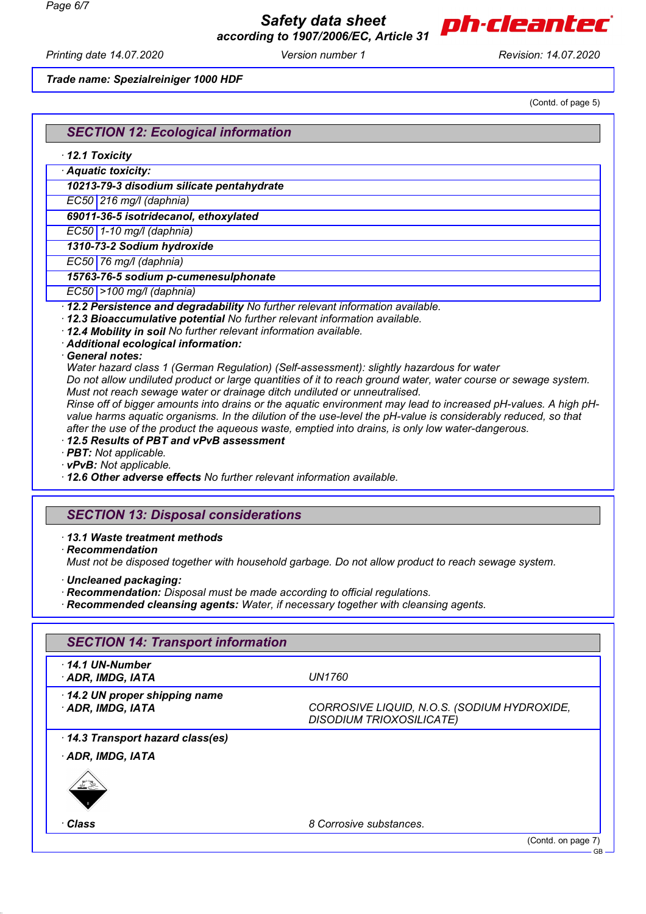

*Printing date 14.07.2020 Version number 1 Revision: 14.07.2020*

*Trade name: Spezialreiniger 1000 HDF*

(Contd. of page 5)

# *SECTION 12: Ecological information*

*· 12.1 Toxicity*

*· Aquatic toxicity: 10213-79-3 disodium silicate pentahydrate*

*EC50 216 mg/l (daphnia)*

*69011-36-5 isotridecanol, ethoxylated*

*EC50 1-10 mg/l (daphnia)*

*1310-73-2 Sodium hydroxide*

*EC50 76 mg/l (daphnia)*

#### *15763-76-5 sodium p-cumenesulphonate*

*EC50 >100 mg/l (daphnia)*

*· 12.2 Persistence and degradability No further relevant information available.*

- *· 12.3 Bioaccumulative potential No further relevant information available.*
- *· 12.4 Mobility in soil No further relevant information available.*
- *· Additional ecological information:*
- *· General notes:*

*Water hazard class 1 (German Regulation) (Self-assessment): slightly hazardous for water*

*Do not allow undiluted product or large quantities of it to reach ground water, water course or sewage system. Must not reach sewage water or drainage ditch undiluted or unneutralised.*

*Rinse off of bigger amounts into drains or the aquatic environment may lead to increased pH-values. A high pHvalue harms aquatic organisms. In the dilution of the use-level the pH-value is considerably reduced, so that after the use of the product the aqueous waste, emptied into drains, is only low water-dangerous.*

### *· 12.5 Results of PBT and vPvB assessment*

*· PBT: Not applicable.*

*· vPvB: Not applicable.*

*· 12.6 Other adverse effects No further relevant information available.*

# *SECTION 13: Disposal considerations*

#### *· 13.1 Waste treatment methods*

*· Recommendation*

*Must not be disposed together with household garbage. Do not allow product to reach sewage system.*

- *· Uncleaned packaging:*
- *· Recommendation: Disposal must be made according to official regulations.*
- *· Recommended cleansing agents: Water, if necessary together with cleansing agents.*

| <b>SECTION 14: Transport information</b>        |                                                                                |
|-------------------------------------------------|--------------------------------------------------------------------------------|
| $\cdot$ 14.1 UN-Number<br>· ADR, IMDG, IATA     | <b>UN1760</b>                                                                  |
| 14.2 UN proper shipping name<br>ADR, IMDG, IATA | CORROSIVE LIQUID, N.O.S. (SODIUM HYDROXIDE,<br><b>DISODIUM TRIOXOSILICATE)</b> |
| 14.3 Transport hazard class(es)                 |                                                                                |
| · ADR, IMDG, IATA                               |                                                                                |
| 亚丝                                              |                                                                                |
| ∙Class                                          | 8 Corrosive substances.                                                        |
|                                                 | (Contd. on page 7)<br>$\sim$                                                   |